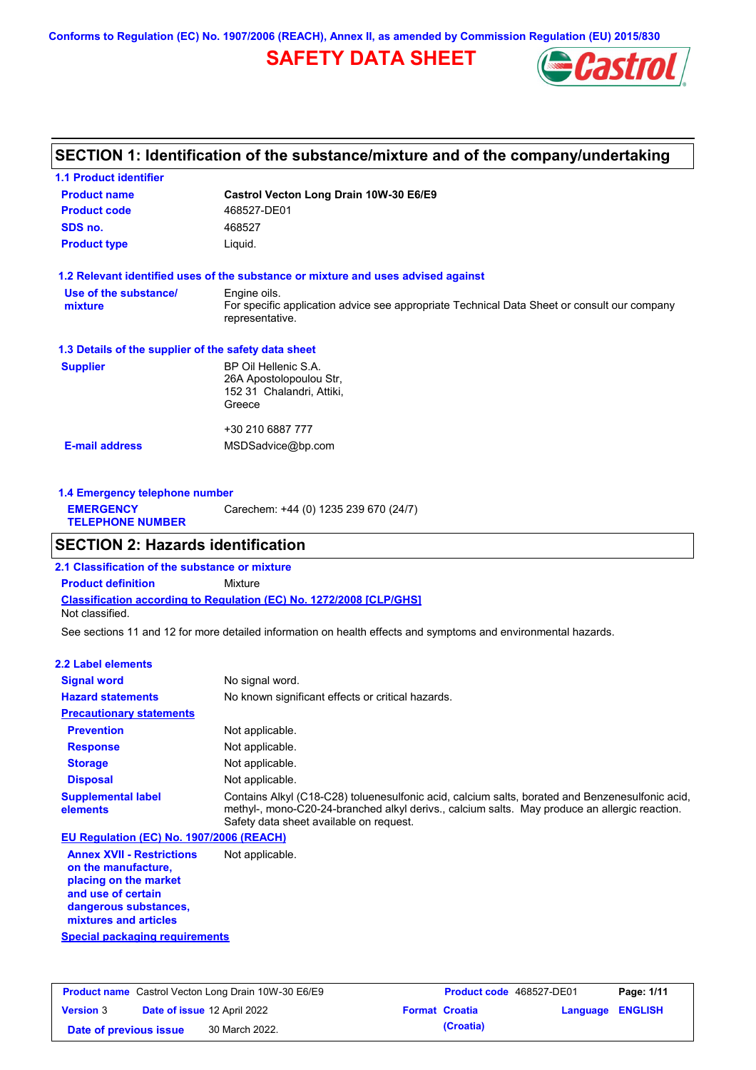**Conforms to Regulation (EC) No. 1907/2006 (REACH), Annex II, as amended by Commission Regulation (EU) 2015/830**

# **SAFETY DATA SHEET**



# **SECTION 1: Identification of the substance/mixture and of the company/undertaking**

| <b>1.1 Product identifier</b>                        |                                                                                                                |  |  |  |
|------------------------------------------------------|----------------------------------------------------------------------------------------------------------------|--|--|--|
| <b>Product name</b>                                  | Castrol Vecton Long Drain 10W-30 E6/E9                                                                         |  |  |  |
| <b>Product code</b>                                  | 468527-DE01                                                                                                    |  |  |  |
| SDS no.                                              | 468527                                                                                                         |  |  |  |
| <b>Product type</b>                                  | Liquid.                                                                                                        |  |  |  |
|                                                      | 1.2 Relevant identified uses of the substance or mixture and uses advised against                              |  |  |  |
| Use of the substance/                                | Engine oils.                                                                                                   |  |  |  |
| mixture                                              | For specific application advice see appropriate Technical Data Sheet or consult our company<br>representative. |  |  |  |
| 1.3 Details of the supplier of the safety data sheet |                                                                                                                |  |  |  |
| <b>Supplier</b>                                      | BP Oil Hellenic S.A.                                                                                           |  |  |  |
|                                                      | 26A Apostolopoulou Str.                                                                                        |  |  |  |
|                                                      | 152 31 Chalandri, Attiki,<br>Greece                                                                            |  |  |  |
|                                                      |                                                                                                                |  |  |  |
|                                                      | +30 210 6887 777                                                                                               |  |  |  |
| <b>E-mail address</b>                                | MSDSadvice@bp.com                                                                                              |  |  |  |
|                                                      |                                                                                                                |  |  |  |
|                                                      |                                                                                                                |  |  |  |

| 1.4 Emergency telephone number              |                                       |  |  |
|---------------------------------------------|---------------------------------------|--|--|
| <b>EMERGENCY</b><br><b>TELEPHONE NUMBER</b> | Carechem: +44 (0) 1235 239 670 (24/7) |  |  |

# **SECTION 2: Hazards identification**

**Classification according to Regulation (EC) No. 1272/2008 [CLP/GHS] 2.1 Classification of the substance or mixture Product definition** Mixture Not classified.

See sections 11 and 12 for more detailed information on health effects and symptoms and environmental hazards.

### **2.2 Label elements**

| <b>Signal word</b>                       | No signal word.                                                                                                                                                                                                                             |
|------------------------------------------|---------------------------------------------------------------------------------------------------------------------------------------------------------------------------------------------------------------------------------------------|
| <b>Hazard statements</b>                 | No known significant effects or critical hazards.                                                                                                                                                                                           |
| <b>Precautionary statements</b>          |                                                                                                                                                                                                                                             |
| <b>Prevention</b>                        | Not applicable.                                                                                                                                                                                                                             |
| <b>Response</b>                          | Not applicable.                                                                                                                                                                                                                             |
| <b>Storage</b>                           | Not applicable.                                                                                                                                                                                                                             |
| <b>Disposal</b>                          | Not applicable.                                                                                                                                                                                                                             |
| <b>Supplemental label</b><br>elements    | Contains Alkyl (C18-C28) toluenesulfonic acid, calcium salts, borated and Benzenesulfonic acid,<br>methyl-, mono-C20-24-branched alkyl derivs., calcium salts. May produce an allergic reaction.<br>Safety data sheet available on request. |
| EU Regulation (EC) No. 1907/2006 (REACH) |                                                                                                                                                                                                                                             |
| Amney VVIII Destrictions                 | Nationalizable                                                                                                                                                                                                                              |

**Annex XVII - Restrictions on the manufacture, placing on the market and use of certain dangerous substances, mixtures and articles** Not applicable.

**Special packaging requirements**

| <b>Product name</b> Castrol Vecton Long Drain 10W-30 E6/E9 |  | <b>Product code</b> 468527-DE01    |  | Page: 1/11            |                         |  |
|------------------------------------------------------------|--|------------------------------------|--|-----------------------|-------------------------|--|
| <b>Version 3</b>                                           |  | <b>Date of issue 12 April 2022</b> |  | <b>Format Croatia</b> | <b>Language ENGLISH</b> |  |
| Date of previous issue                                     |  | 30 March 2022.                     |  | (Croatia)             |                         |  |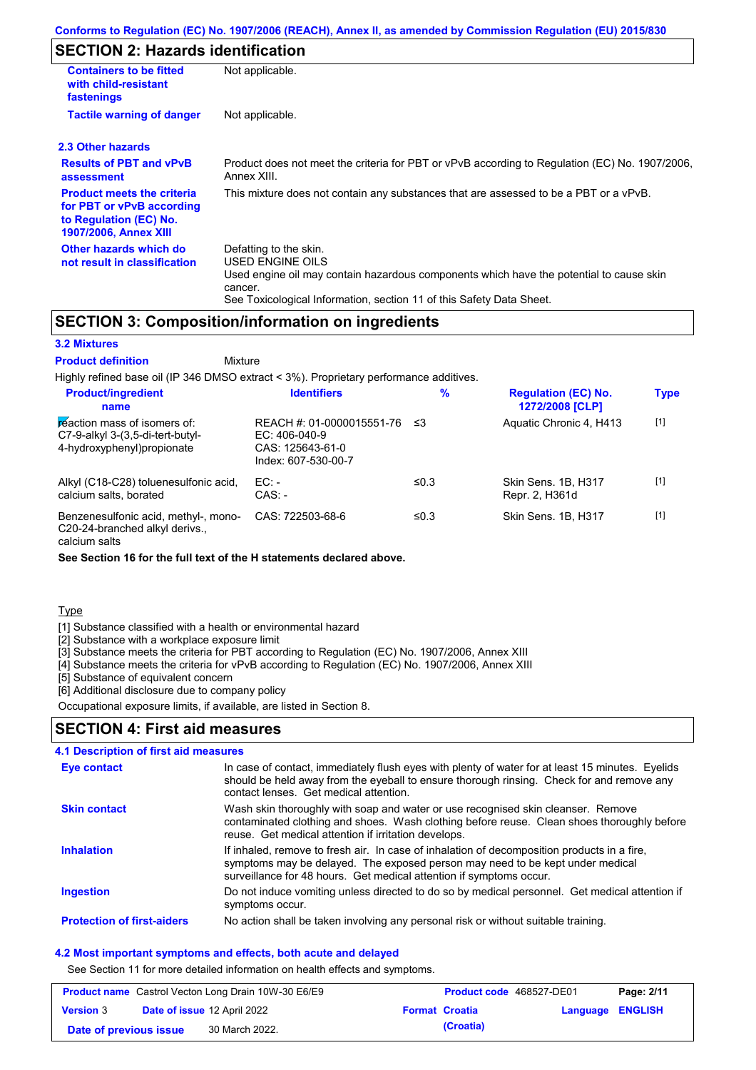### **SECTION 2: Hazards identification**

| <b>Containers to be fitted</b><br>with child-resistant<br>fastenings                                                     | Not applicable.                                                                                                                                                                                                          |  |  |
|--------------------------------------------------------------------------------------------------------------------------|--------------------------------------------------------------------------------------------------------------------------------------------------------------------------------------------------------------------------|--|--|
| <b>Tactile warning of danger</b><br>Not applicable.                                                                      |                                                                                                                                                                                                                          |  |  |
| 2.3 Other hazards                                                                                                        |                                                                                                                                                                                                                          |  |  |
| <b>Results of PBT and vPvB</b><br>assessment                                                                             | Product does not meet the criteria for PBT or vPvB according to Regulation (EC) No. 1907/2006,<br>Annex XIII.                                                                                                            |  |  |
| <b>Product meets the criteria</b><br>for PBT or vPvB according<br>to Regulation (EC) No.<br><b>1907/2006, Annex XIII</b> | This mixture does not contain any substances that are assessed to be a PBT or a vPvB.                                                                                                                                    |  |  |
| Other hazards which do<br>not result in classification                                                                   | Defatting to the skin.<br>USED ENGINE OILS<br>Used engine oil may contain hazardous components which have the potential to cause skin<br>cancer.<br>See Toxicological Information, section 11 of this Safety Data Sheet. |  |  |

## **SECTION 3: Composition/information on ingredients**

**Mixture** 

#### **3.2 Mixtures**

**Product definition**

Highly refined base oil (IP 346 DMSO extract < 3%). Proprietary performance additives. **Product/ingredient % Regulation (EC) No. Identifiers Type**

| <b>FIVALLATION</b><br>name                                                                       | 19611111619                                                                                | 70   | <b>NGYMANON (LV) NO.</b><br>1272/2008 [CLP] | <u>i ype</u> |
|--------------------------------------------------------------------------------------------------|--------------------------------------------------------------------------------------------|------|---------------------------------------------|--------------|
| reaction mass of isomers of:<br>$C7-9-alkyl$ 3-(3,5-di-tert-butyl-<br>4-hydroxyphenyl)propionate | REACH #: 01-0000015551-76 ≤3<br>$EC: 406-040-9$<br>CAS: 125643-61-0<br>Index: 607-530-00-7 |      | Aquatic Chronic 4, H413                     | $[1]$        |
| Alkyl (C18-C28) toluenesulfonic acid,<br>calcium salts, borated                                  | $EC:$ -<br>$CAS: -$                                                                        | ≤0.3 | Skin Sens, 1B, H317<br>Repr. 2, H361d       | $[1]$        |
| Benzenesulfonic acid, methyl-, mono-<br>C20-24-branched alkyl derivs.,                           | CAS: 722503-68-6                                                                           | ≤0.3 | Skin Sens, 1B, H317                         | $[1]$        |

calcium salts

**See Section 16 for the full text of the H statements declared above.**

**Type** 

[1] Substance classified with a health or environmental hazard

[2] Substance with a workplace exposure limit

[3] Substance meets the criteria for PBT according to Regulation (EC) No. 1907/2006, Annex XIII

[4] Substance meets the criteria for vPvB according to Regulation (EC) No. 1907/2006, Annex XIII

[5] Substance of equivalent concern

[6] Additional disclosure due to company policy

Occupational exposure limits, if available, are listed in Section 8.

### **SECTION 4: First aid measures**

#### Do not induce vomiting unless directed to do so by medical personnel. Get medical attention if symptoms occur. In case of contact, immediately flush eyes with plenty of water for at least 15 minutes. Eyelids should be held away from the eyeball to ensure thorough rinsing. Check for and remove any contact lenses. Get medical attention. **4.1 Description of first aid measures** If inhaled, remove to fresh air. In case of inhalation of decomposition products in a fire, symptoms may be delayed. The exposed person may need to be kept under medical surveillance for 48 hours. Get medical attention if symptoms occur. **Ingestion Inhalation Eye contact Protection of first-aiders** No action shall be taken involving any personal risk or without suitable training. **Skin contact** Wash skin thoroughly with soap and water or use recognised skin cleanser. Remove contaminated clothing and shoes. Wash clothing before reuse. Clean shoes thoroughly before reuse. Get medical attention if irritation develops.

### **4.2 Most important symptoms and effects, both acute and delayed**

See Section 11 for more detailed information on health effects and symptoms.

| <b>Product name</b> Castrol Vecton Long Drain 10W-30 E6/E9 |  | <b>Product code</b> 468527-DE01    |  | Page: 2/11            |                         |  |
|------------------------------------------------------------|--|------------------------------------|--|-----------------------|-------------------------|--|
| <b>Version 3</b>                                           |  | <b>Date of issue 12 April 2022</b> |  | <b>Format Croatia</b> | <b>Language ENGLISH</b> |  |
| Date of previous issue                                     |  | 30 March 2022.                     |  | (Croatia)             |                         |  |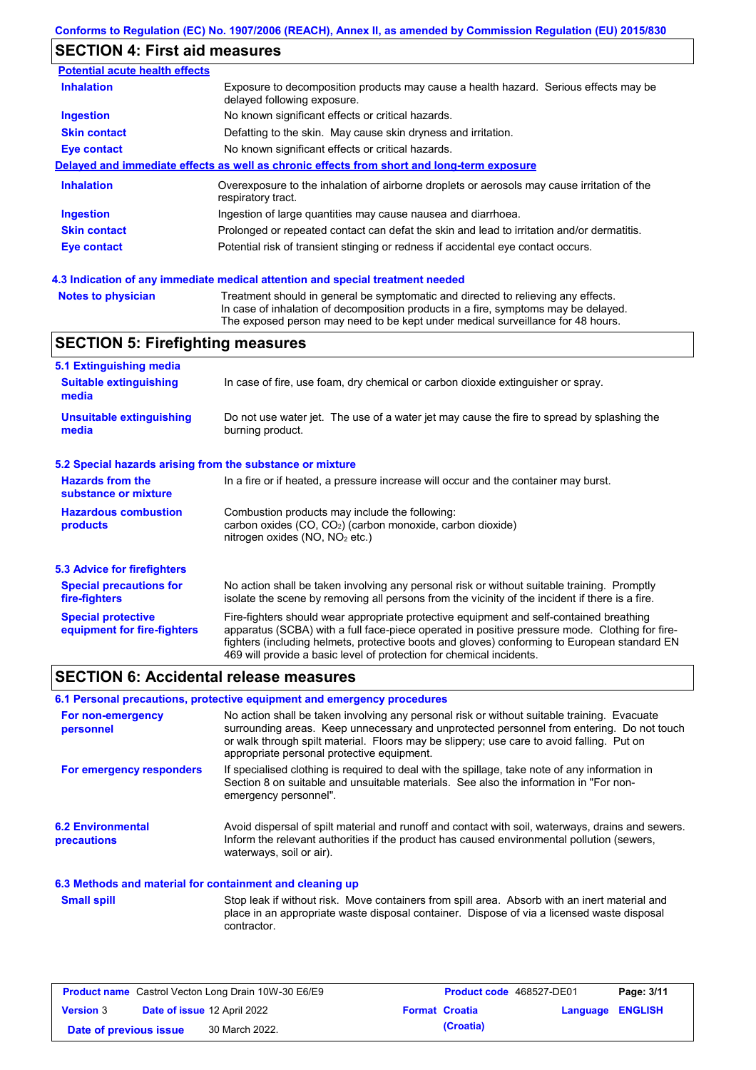## **SECTION 4: First aid measures**

| <b>Potential acute health effects</b> |                                                                                                                                                                          |  |  |  |
|---------------------------------------|--------------------------------------------------------------------------------------------------------------------------------------------------------------------------|--|--|--|
| <b>Inhalation</b>                     | Exposure to decomposition products may cause a health hazard. Serious effects may be<br>delayed following exposure.                                                      |  |  |  |
| <b>Ingestion</b>                      | No known significant effects or critical hazards.                                                                                                                        |  |  |  |
| <b>Skin contact</b>                   | Defatting to the skin. May cause skin dryness and irritation.                                                                                                            |  |  |  |
| <b>Eye contact</b>                    | No known significant effects or critical hazards.                                                                                                                        |  |  |  |
|                                       | Delayed and immediate effects as well as chronic effects from short and long-term exposure                                                                               |  |  |  |
| <b>Inhalation</b>                     | Overexposure to the inhalation of airborne droplets or aerosols may cause irritation of the<br>respiratory tract.                                                        |  |  |  |
| <b>Ingestion</b>                      | Ingestion of large quantities may cause nausea and diarrhoea.                                                                                                            |  |  |  |
| <b>Skin contact</b>                   | Prolonged or repeated contact can defat the skin and lead to irritation and/or dermatitis.                                                                               |  |  |  |
| Eye contact                           | Potential risk of transient stinging or redness if accidental eye contact occurs.                                                                                        |  |  |  |
|                                       | 4.3 Indication of any immediate medical attention and special treatment needed                                                                                           |  |  |  |
| <b>Notes to physician</b>             | Treatment should in general be symptomatic and directed to relieving any effects.<br>In case of inhalation of decomposition products in a fire, symptoms may be delayed. |  |  |  |

The exposed person may need to be kept under medical surveillance for 48 hours.

In case of fire, use foam, dry chemical or carbon dioxide extinguisher or spray.

Do not use water jet. The use of a water jet may cause the fire to spread by splashing the

In a fire or if heated, a pressure increase will occur and the container may burst.

No action shall be taken involving any personal risk or without suitable training. Promptly isolate the scene by removing all persons from the vicinity of the incident if there is a fire.

Fire-fighters should wear appropriate protective equipment and self-contained breathing apparatus (SCBA) with a full face-piece operated in positive pressure mode. Clothing for firefighters (including helmets, protective boots and gloves) conforming to European standard EN

### **SECTION 6: Accidental release measures**

**5.2 Special hazards arising from the substance or mixture**

**Hazardous combustion** 

**5.3 Advice for firefighters Special precautions for** 

**5.1 Extinguishing media**

**SECTION 5: Firefighting measures**

**Suitable extinguishing** 

**Unsuitable extinguishing** 

**Hazards from the substance or mixture**

**Special protective equipment for fire-fighters**

**fire-fighters**

**products**

**media**

**media**

### **6.1 Personal precautions, protective equipment and emergency procedures**

| For non-emergency<br>personnel                           | No action shall be taken involving any personal risk or without suitable training. Evacuate<br>surrounding areas. Keep unnecessary and unprotected personnel from entering. Do not touch<br>or walk through spilt material. Floors may be slippery; use care to avoid falling. Put on<br>appropriate personal protective equipment. |
|----------------------------------------------------------|-------------------------------------------------------------------------------------------------------------------------------------------------------------------------------------------------------------------------------------------------------------------------------------------------------------------------------------|
| For emergency responders                                 | If specialised clothing is required to deal with the spillage, take note of any information in<br>Section 8 on suitable and unsuitable materials. See also the information in "For non-<br>emergency personnel".                                                                                                                    |
| <b>6.2 Environmental</b><br>precautions                  | Avoid dispersal of spilt material and runoff and contact with soil, waterways, drains and sewers.<br>Inform the relevant authorities if the product has caused environmental pollution (sewers,<br>waterways, soil or air).                                                                                                         |
| 6.3 Methods and material for containment and cleaning up |                                                                                                                                                                                                                                                                                                                                     |
| <b>Small spill</b>                                       | Stop leak if without risk. Move containers from spill area. Absorb with an inert material and<br>place in an appropriate waste disposal container. Dispose of via a licensed waste disposal<br>contractor.                                                                                                                          |

Combustion products may include the following:

nitrogen oxides (NO, NO<sub>2</sub> etc.)

burning product.

carbon oxides (CO, CO2) (carbon monoxide, carbon dioxide)

469 will provide a basic level of protection for chemical incidents.

| <b>Product name</b> Castrol Vecton Long Drain 10W-30 E6/E9 |  | <b>Product code</b> 468527-DE01 |  | Page: 3/11            |                  |  |
|------------------------------------------------------------|--|---------------------------------|--|-----------------------|------------------|--|
| <b>Version 3</b>                                           |  | Date of issue 12 April 2022     |  | <b>Format Croatia</b> | Language ENGLISH |  |
| Date of previous issue                                     |  | 30 March 2022.                  |  | (Croatia)             |                  |  |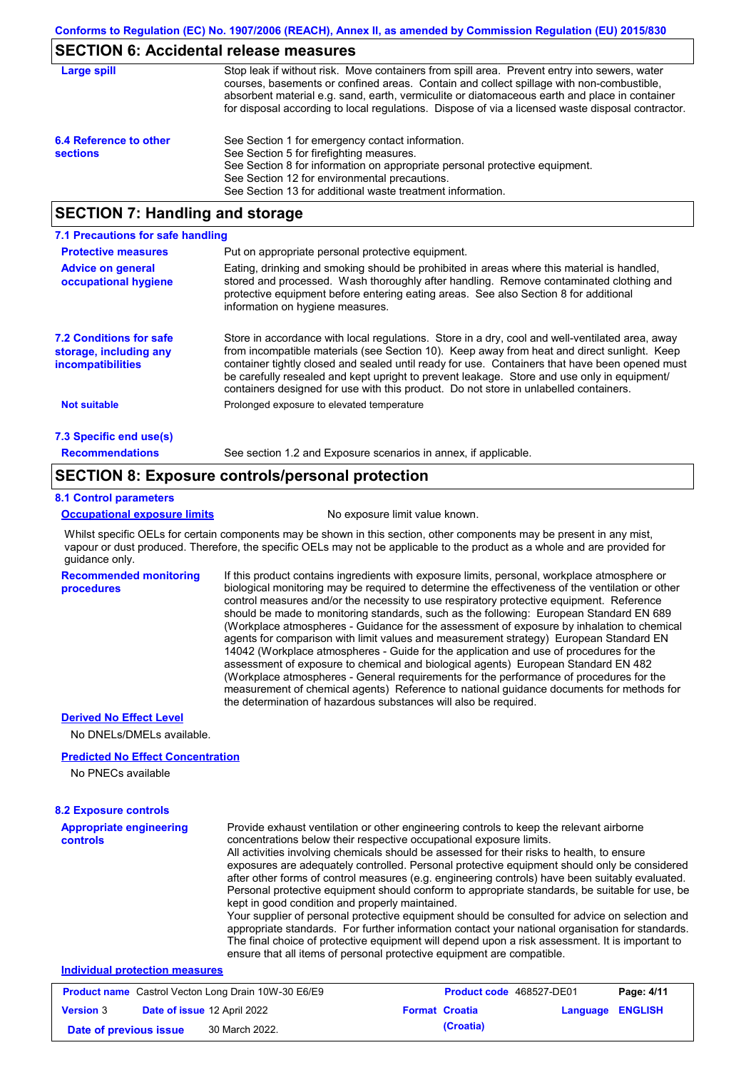# **SECTION 6: Accidental release measures**

| Large spill                               | Stop leak if without risk. Move containers from spill area. Prevent entry into sewers, water<br>courses, basements or confined areas. Contain and collect spillage with non-combustible,<br>absorbent material e.g. sand, earth, vermiculite or diatomaceous earth and place in container<br>for disposal according to local regulations. Dispose of via a licensed waste disposal contractor. |
|-------------------------------------------|------------------------------------------------------------------------------------------------------------------------------------------------------------------------------------------------------------------------------------------------------------------------------------------------------------------------------------------------------------------------------------------------|
| 6.4 Reference to other<br><b>sections</b> | See Section 1 for emergency contact information.<br>See Section 5 for firefighting measures.<br>See Section 8 for information on appropriate personal protective equipment.<br>See Section 12 for environmental precautions.<br>See Section 13 for additional waste treatment information.                                                                                                     |

# **SECTION 7: Handling and storage**

| 7.1 Precautions for safe handling                                                    |                                                                                                                                                                                                                                                                                                                                                                                                                                                                                          |
|--------------------------------------------------------------------------------------|------------------------------------------------------------------------------------------------------------------------------------------------------------------------------------------------------------------------------------------------------------------------------------------------------------------------------------------------------------------------------------------------------------------------------------------------------------------------------------------|
| <b>Protective measures</b>                                                           | Put on appropriate personal protective equipment.                                                                                                                                                                                                                                                                                                                                                                                                                                        |
| <b>Advice on general</b><br>occupational hygiene                                     | Eating, drinking and smoking should be prohibited in areas where this material is handled,<br>stored and processed. Wash thoroughly after handling. Remove contaminated clothing and<br>protective equipment before entering eating areas. See also Section 8 for additional<br>information on hygiene measures.                                                                                                                                                                         |
| <b>7.2 Conditions for safe</b><br>storage, including any<br><b>incompatibilities</b> | Store in accordance with local requlations. Store in a dry, cool and well-ventilated area, away<br>from incompatible materials (see Section 10). Keep away from heat and direct sunlight. Keep<br>container tightly closed and sealed until ready for use. Containers that have been opened must<br>be carefully resealed and kept upright to prevent leakage. Store and use only in equipment/<br>containers designed for use with this product. Do not store in unlabelled containers. |
| <b>Not suitable</b>                                                                  | Prolonged exposure to elevated temperature                                                                                                                                                                                                                                                                                                                                                                                                                                               |
| 7.3 Specific end use(s)                                                              |                                                                                                                                                                                                                                                                                                                                                                                                                                                                                          |
| <b>Recommendations</b>                                                               | See section 1.2 and Exposure scenarios in annex, if applicable.                                                                                                                                                                                                                                                                                                                                                                                                                          |

### **SECTION 8: Exposure controls/personal protection**

### **8.1 Control parameters**

#### **Occupational exposure limits** No exposure limit value known.

Whilst specific OELs for certain components may be shown in this section, other components may be present in any mist, vapour or dust produced. Therefore, the specific OELs may not be applicable to the product as a whole and are provided for guidance only.

**Recommended monitoring procedures** If this product contains ingredients with exposure limits, personal, workplace atmosphere or biological monitoring may be required to determine the effectiveness of the ventilation or other control measures and/or the necessity to use respiratory protective equipment. Reference should be made to monitoring standards, such as the following: European Standard EN 689 (Workplace atmospheres - Guidance for the assessment of exposure by inhalation to chemical agents for comparison with limit values and measurement strategy) European Standard EN 14042 (Workplace atmospheres - Guide for the application and use of procedures for the assessment of exposure to chemical and biological agents) European Standard EN 482 (Workplace atmospheres - General requirements for the performance of procedures for the measurement of chemical agents) Reference to national guidance documents for methods for the determination of hazardous substances will also be required.

### **Derived No Effect Level**

No DNELs/DMELs available.

### **Predicted No Effect Concentration**

No PNECs available

| <b>8.2 Exposure controls</b>                                     |                                                                                                                                                                                                                                                                                                                                                                                                                                                                                                                                                                                                                                                                                                                                                                                                                                                                                                                                                                                                         |
|------------------------------------------------------------------|---------------------------------------------------------------------------------------------------------------------------------------------------------------------------------------------------------------------------------------------------------------------------------------------------------------------------------------------------------------------------------------------------------------------------------------------------------------------------------------------------------------------------------------------------------------------------------------------------------------------------------------------------------------------------------------------------------------------------------------------------------------------------------------------------------------------------------------------------------------------------------------------------------------------------------------------------------------------------------------------------------|
| <b>Appropriate engineering</b><br>controls                       | Provide exhaust ventilation or other engineering controls to keep the relevant airborne<br>concentrations below their respective occupational exposure limits.<br>All activities involving chemicals should be assessed for their risks to health, to ensure<br>exposures are adequately controlled. Personal protective equipment should only be considered<br>after other forms of control measures (e.g. engineering controls) have been suitably evaluated.<br>Personal protective equipment should conform to appropriate standards, be suitable for use, be<br>kept in good condition and properly maintained.<br>Your supplier of personal protective equipment should be consulted for advice on selection and<br>appropriate standards. For further information contact your national organisation for standards.<br>The final choice of protective equipment will depend upon a risk assessment. It is important to<br>ensure that all items of personal protective equipment are compatible. |
| Individual protection measures                                   |                                                                                                                                                                                                                                                                                                                                                                                                                                                                                                                                                                                                                                                                                                                                                                                                                                                                                                                                                                                                         |
| <b>Deadling in October 11/2 structure District 4014/20 FOIFO</b> | <b>Benedict 4144</b>                                                                                                                                                                                                                                                                                                                                                                                                                                                                                                                                                                                                                                                                                                                                                                                                                                                                                                                                                                                    |

|                        | <b>Product name</b> Castrol Vecton Long Drain 10W-30 E6/E9 | <b>Product code</b> 468527-DE01 |                         | Page: 4/11 |
|------------------------|------------------------------------------------------------|---------------------------------|-------------------------|------------|
| <b>Version 3</b>       | Date of issue 12 April 2022                                | <b>Format Croatia</b>           | <b>Language ENGLISH</b> |            |
| Date of previous issue | 30 March 2022.                                             | (Croatia)                       |                         |            |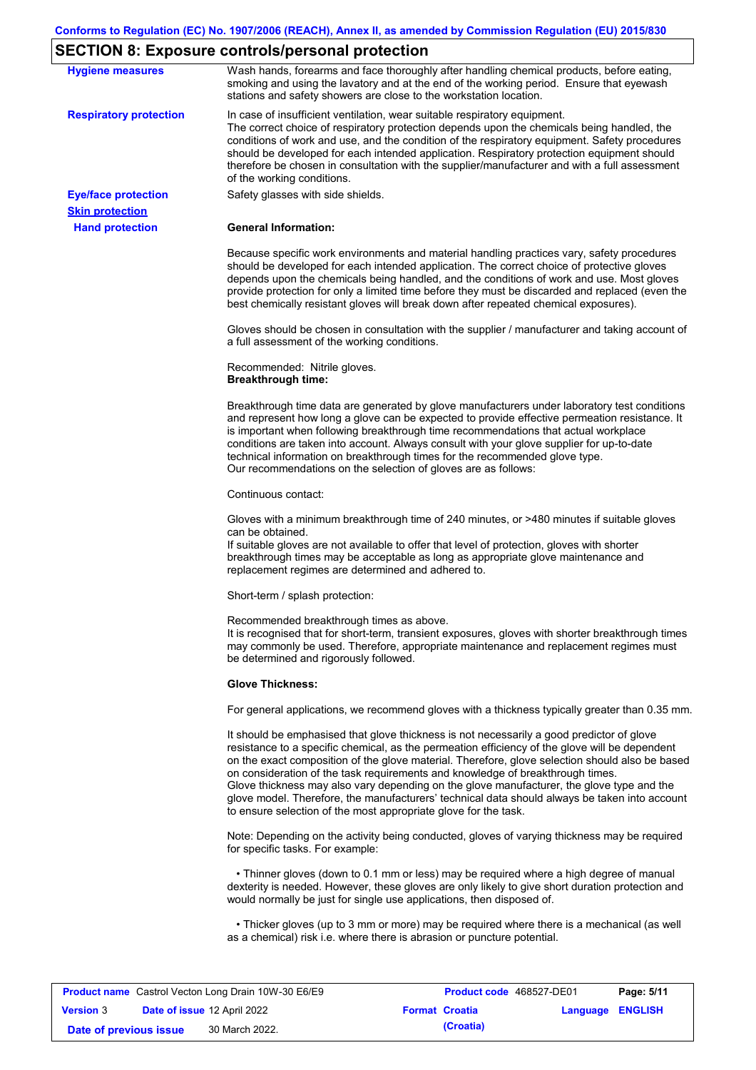# **SECTION 8: Exposure controls/personal protection**

| <b>Hygiene measures</b>                              | Wash hands, forearms and face thoroughly after handling chemical products, before eating,<br>smoking and using the lavatory and at the end of the working period. Ensure that eyewash<br>stations and safety showers are close to the workstation location.                                                                                                                                                                                                                                                                                                                                                                                       |
|------------------------------------------------------|---------------------------------------------------------------------------------------------------------------------------------------------------------------------------------------------------------------------------------------------------------------------------------------------------------------------------------------------------------------------------------------------------------------------------------------------------------------------------------------------------------------------------------------------------------------------------------------------------------------------------------------------------|
| <b>Respiratory protection</b>                        | In case of insufficient ventilation, wear suitable respiratory equipment.<br>The correct choice of respiratory protection depends upon the chemicals being handled, the<br>conditions of work and use, and the condition of the respiratory equipment. Safety procedures<br>should be developed for each intended application. Respiratory protection equipment should<br>therefore be chosen in consultation with the supplier/manufacturer and with a full assessment<br>of the working conditions.                                                                                                                                             |
| <b>Eye/face protection</b><br><b>Skin protection</b> | Safety glasses with side shields.                                                                                                                                                                                                                                                                                                                                                                                                                                                                                                                                                                                                                 |
| <b>Hand protection</b>                               | <b>General Information:</b>                                                                                                                                                                                                                                                                                                                                                                                                                                                                                                                                                                                                                       |
|                                                      | Because specific work environments and material handling practices vary, safety procedures<br>should be developed for each intended application. The correct choice of protective gloves<br>depends upon the chemicals being handled, and the conditions of work and use. Most gloves<br>provide protection for only a limited time before they must be discarded and replaced (even the<br>best chemically resistant gloves will break down after repeated chemical exposures).                                                                                                                                                                  |
|                                                      | Gloves should be chosen in consultation with the supplier / manufacturer and taking account of<br>a full assessment of the working conditions.                                                                                                                                                                                                                                                                                                                                                                                                                                                                                                    |
|                                                      | Recommended: Nitrile gloves.<br><b>Breakthrough time:</b>                                                                                                                                                                                                                                                                                                                                                                                                                                                                                                                                                                                         |
|                                                      | Breakthrough time data are generated by glove manufacturers under laboratory test conditions<br>and represent how long a glove can be expected to provide effective permeation resistance. It<br>is important when following breakthrough time recommendations that actual workplace<br>conditions are taken into account. Always consult with your glove supplier for up-to-date<br>technical information on breakthrough times for the recommended glove type.<br>Our recommendations on the selection of gloves are as follows:                                                                                                                |
|                                                      | Continuous contact:                                                                                                                                                                                                                                                                                                                                                                                                                                                                                                                                                                                                                               |
|                                                      | Gloves with a minimum breakthrough time of 240 minutes, or >480 minutes if suitable gloves<br>can be obtained.<br>If suitable gloves are not available to offer that level of protection, gloves with shorter<br>breakthrough times may be acceptable as long as appropriate glove maintenance and<br>replacement regimes are determined and adhered to.                                                                                                                                                                                                                                                                                          |
|                                                      | Short-term / splash protection:                                                                                                                                                                                                                                                                                                                                                                                                                                                                                                                                                                                                                   |
|                                                      | Recommended breakthrough times as above.<br>It is recognised that for short-term, transient exposures, gloves with shorter breakthrough times<br>may commonly be used. Therefore, appropriate maintenance and replacement regimes must<br>be determined and rigorously followed.                                                                                                                                                                                                                                                                                                                                                                  |
|                                                      | <b>Glove Thickness:</b>                                                                                                                                                                                                                                                                                                                                                                                                                                                                                                                                                                                                                           |
|                                                      | For general applications, we recommend gloves with a thickness typically greater than 0.35 mm.                                                                                                                                                                                                                                                                                                                                                                                                                                                                                                                                                    |
|                                                      | It should be emphasised that glove thickness is not necessarily a good predictor of glove<br>resistance to a specific chemical, as the permeation efficiency of the glove will be dependent<br>on the exact composition of the glove material. Therefore, glove selection should also be based<br>on consideration of the task requirements and knowledge of breakthrough times.<br>Glove thickness may also vary depending on the glove manufacturer, the glove type and the<br>glove model. Therefore, the manufacturers' technical data should always be taken into account<br>to ensure selection of the most appropriate glove for the task. |
|                                                      | Note: Depending on the activity being conducted, gloves of varying thickness may be required<br>for specific tasks. For example:                                                                                                                                                                                                                                                                                                                                                                                                                                                                                                                  |
|                                                      | • Thinner gloves (down to 0.1 mm or less) may be required where a high degree of manual<br>dexterity is needed. However, these gloves are only likely to give short duration protection and<br>would normally be just for single use applications, then disposed of.                                                                                                                                                                                                                                                                                                                                                                              |
|                                                      | • Thicker gloves (up to 3 mm or more) may be required where there is a mechanical (as well<br>as a chemical) risk i.e. where there is abrasion or puncture potential.                                                                                                                                                                                                                                                                                                                                                                                                                                                                             |

|                        | <b>Product name</b> Castrol Vecton Long Drain 10W-30 E6/E9 | <b>Product code</b> 468527-DE01 |                         | Page: 5/11 |
|------------------------|------------------------------------------------------------|---------------------------------|-------------------------|------------|
| <b>Version 3</b>       | <b>Date of issue 12 April 2022</b>                         | <b>Format Croatia</b>           | <b>Language ENGLISH</b> |            |
| Date of previous issue | 30 March 2022.                                             | (Croatia)                       |                         |            |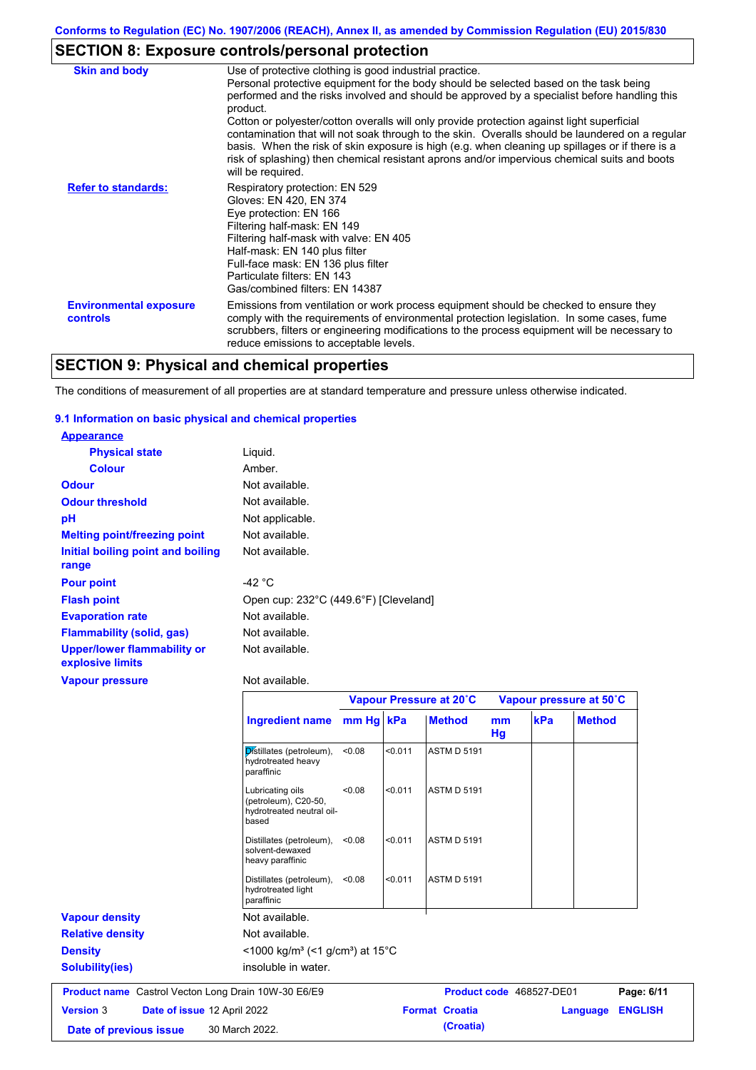# **SECTION 8: Exposure controls/personal protection**

| <b>Skin and body</b>                             | Use of protective clothing is good industrial practice.<br>Personal protective equipment for the body should be selected based on the task being<br>performed and the risks involved and should be approved by a specialist before handling this<br>product.<br>Cotton or polyester/cotton overalls will only provide protection against light superficial<br>contamination that will not soak through to the skin. Overalls should be laundered on a regular<br>basis. When the risk of skin exposure is high (e.g. when cleaning up spillages or if there is a<br>risk of splashing) then chemical resistant aprons and/or impervious chemical suits and boots<br>will be required. |
|--------------------------------------------------|---------------------------------------------------------------------------------------------------------------------------------------------------------------------------------------------------------------------------------------------------------------------------------------------------------------------------------------------------------------------------------------------------------------------------------------------------------------------------------------------------------------------------------------------------------------------------------------------------------------------------------------------------------------------------------------|
| <b>Refer to standards:</b>                       | Respiratory protection: EN 529<br>Gloves: EN 420, EN 374<br>Eye protection: EN 166<br>Filtering half-mask: EN 149<br>Filtering half-mask with valve: EN 405<br>Half-mask: EN 140 plus filter<br>Full-face mask: EN 136 plus filter<br>Particulate filters: EN 143<br>Gas/combined filters: EN 14387                                                                                                                                                                                                                                                                                                                                                                                   |
| <b>Environmental exposure</b><br><b>controls</b> | Emissions from ventilation or work process equipment should be checked to ensure they<br>comply with the requirements of environmental protection legislation. In some cases, fume<br>scrubbers, filters or engineering modifications to the process equipment will be necessary to<br>reduce emissions to acceptable levels.                                                                                                                                                                                                                                                                                                                                                         |

# **SECTION 9: Physical and chemical properties**

The conditions of measurement of all properties are at standard temperature and pressure unless otherwise indicated.

### **9.1 Information on basic physical and chemical properties**

| <b>Appearance</b>                               |                                       |
|-------------------------------------------------|---------------------------------------|
| <b>Physical state</b>                           | Liguid.                               |
| <b>Colour</b>                                   | Amber.                                |
| <b>Odour</b>                                    | Not available.                        |
| <b>Odour threshold</b>                          | Not available.                        |
| рH                                              | Not applicable.                       |
| <b>Melting point/freezing point</b>             | Not available.                        |
| Initial boiling point and boiling<br>range      | Not available.                        |
| <b>Pour point</b>                               | -42 °C                                |
| <b>Flash point</b>                              | Open cup: 232°C (449.6°F) [Cleveland] |
| <b>Evaporation rate</b>                         | Not available.                        |
| <b>Flammability (solid, gas)</b>                | Not available.                        |
| Upper/lower flammability or<br>explosive limits | Not available.                        |
| <b>Vanour processo</b>                          | Alot availahla                        |

| vapour pr <del>essure</del>                                | <u>ivul avaliabic.</u>                                                         |           |         |                         |          |                          |                            |
|------------------------------------------------------------|--------------------------------------------------------------------------------|-----------|---------|-------------------------|----------|--------------------------|----------------------------|
|                                                            |                                                                                |           |         | Vapour Pressure at 20°C |          | Vapour pressure at 50°C  |                            |
|                                                            | <b>Ingredient name</b>                                                         | mm Hg kPa |         | <b>Method</b>           | mm<br>Hg | kPa                      | <b>Method</b>              |
|                                                            | Distillates (petroleum),<br>hydrotreated heavy<br>paraffinic                   | < 0.08    | < 0.011 | <b>ASTM D 5191</b>      |          |                          |                            |
|                                                            | Lubricating oils<br>(petroleum), C20-50,<br>hydrotreated neutral oil-<br>based | < 0.08    | < 0.011 | <b>ASTM D 5191</b>      |          |                          |                            |
|                                                            | Distillates (petroleum),<br>solvent-dewaxed<br>heavy paraffinic                | < 0.08    | < 0.011 | <b>ASTM D 5191</b>      |          |                          |                            |
|                                                            | Distillates (petroleum),<br>hydrotreated light<br>paraffinic                   | < 0.08    | < 0.011 | <b>ASTM D 5191</b>      |          |                          |                            |
| <b>Vapour density</b>                                      | Not available.                                                                 |           |         |                         |          |                          |                            |
| <b>Relative density</b>                                    | Not available.                                                                 |           |         |                         |          |                          |                            |
| <b>Density</b>                                             | $<$ 1000 kg/m <sup>3</sup> (<1 g/cm <sup>3</sup> ) at 15 <sup>°</sup> C        |           |         |                         |          |                          |                            |
| <b>Solubility(ies)</b>                                     | insoluble in water.                                                            |           |         |                         |          |                          |                            |
| <b>Product name</b> Castrol Vecton Long Drain 10W-30 E6/E9 |                                                                                |           |         |                         |          | Product code 468527-DE01 | Page: 6/11                 |
| Date of issue 12 April 2022<br><b>Version 3</b>            |                                                                                |           |         | <b>Format Croatia</b>   |          |                          | <b>ENGLISH</b><br>Language |

**Date of previous issue 30 March 2022. (Croatia) (Croatia)**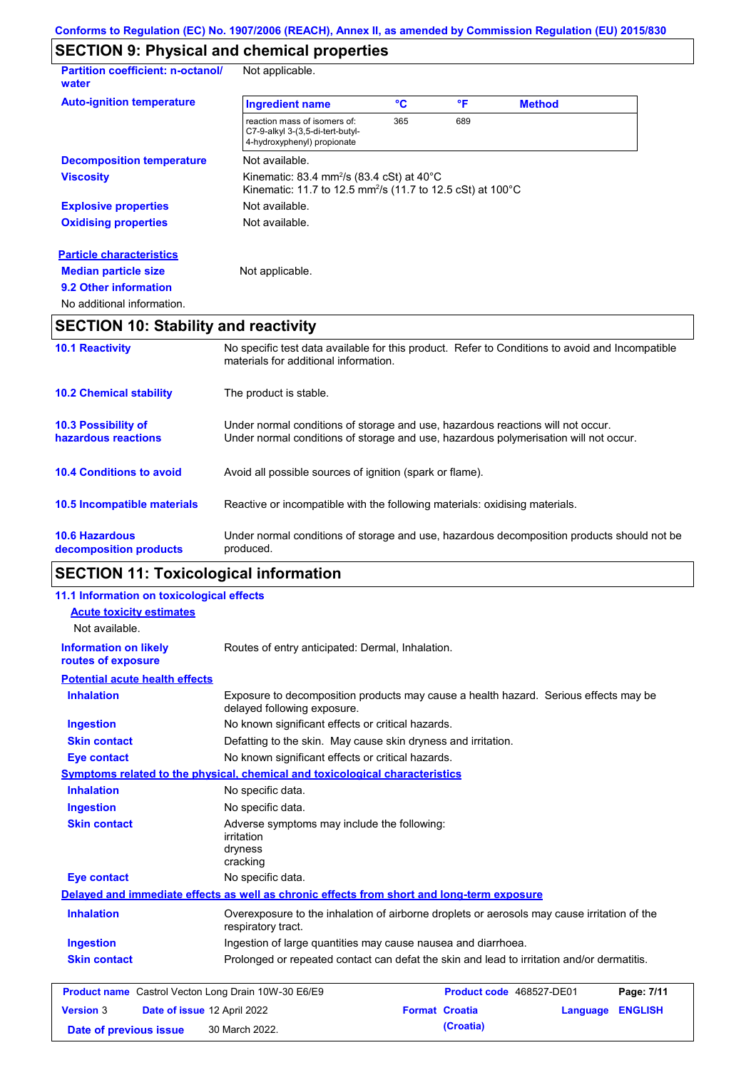# **SECTION 9: Physical and chemical properties**

| <b>Partition coefficient: n-octanol/</b><br>water | Not applicable.                                                                                                                           |     |     |               |  |
|---------------------------------------------------|-------------------------------------------------------------------------------------------------------------------------------------------|-----|-----|---------------|--|
| <b>Auto-ignition temperature</b>                  | <b>Ingredient name</b>                                                                                                                    | °C  | °F  | <b>Method</b> |  |
|                                                   | reaction mass of isomers of:<br>C7-9-alkyl 3-(3,5-di-tert-butyl-<br>4-hydroxyphenyl) propionate                                           | 365 | 689 |               |  |
| <b>Decomposition temperature</b>                  | Not available.                                                                                                                            |     |     |               |  |
| <b>Viscosity</b>                                  | Kinematic: 83.4 mm <sup>2</sup> /s (83.4 cSt) at $40^{\circ}$ C<br>Kinematic: 11.7 to 12.5 mm <sup>2</sup> /s (11.7 to 12.5 cSt) at 100°C |     |     |               |  |
| <b>Explosive properties</b>                       | Not available.                                                                                                                            |     |     |               |  |
| <b>Oxidising properties</b>                       | Not available.                                                                                                                            |     |     |               |  |
| <b>Particle characteristics</b>                   |                                                                                                                                           |     |     |               |  |
| <b>Median particle size</b>                       | Not applicable.                                                                                                                           |     |     |               |  |
| 9.2 Other information                             |                                                                                                                                           |     |     |               |  |
| No additional information.                        |                                                                                                                                           |     |     |               |  |

# **SECTION 10: Stability and reactivity**

| <b>10.1 Reactivity</b>                            | No specific test data available for this product. Refer to Conditions to avoid and Incompatible<br>materials for additional information.                                |
|---------------------------------------------------|-------------------------------------------------------------------------------------------------------------------------------------------------------------------------|
| <b>10.2 Chemical stability</b>                    | The product is stable.                                                                                                                                                  |
| <b>10.3 Possibility of</b><br>hazardous reactions | Under normal conditions of storage and use, hazardous reactions will not occur.<br>Under normal conditions of storage and use, hazardous polymerisation will not occur. |
| <b>10.4 Conditions to avoid</b>                   | Avoid all possible sources of ignition (spark or flame).                                                                                                                |
| <b>10.5 Incompatible materials</b>                | Reactive or incompatible with the following materials: oxidising materials.                                                                                             |
| <b>10.6 Hazardous</b><br>decomposition products   | Under normal conditions of storage and use, hazardous decomposition products should not be<br>produced.                                                                 |

# **SECTION 11: Toxicological information**

| 11.1 Information on toxicological effects                  |                                                                                                                     |
|------------------------------------------------------------|---------------------------------------------------------------------------------------------------------------------|
| <b>Acute toxicity estimates</b>                            |                                                                                                                     |
| Not available.                                             |                                                                                                                     |
| <b>Information on likely</b><br>routes of exposure         | Routes of entry anticipated: Dermal, Inhalation.                                                                    |
| <b>Potential acute health effects</b>                      |                                                                                                                     |
| <b>Inhalation</b>                                          | Exposure to decomposition products may cause a health hazard. Serious effects may be<br>delayed following exposure. |
| <b>Ingestion</b>                                           | No known significant effects or critical hazards.                                                                   |
| <b>Skin contact</b>                                        | Defatting to the skin. May cause skin dryness and irritation.                                                       |
| <b>Eye contact</b>                                         | No known significant effects or critical hazards.                                                                   |
|                                                            | Symptoms related to the physical, chemical and toxicological characteristics                                        |
| <b>Inhalation</b>                                          | No specific data.                                                                                                   |
| <b>Ingestion</b>                                           | No specific data.                                                                                                   |
| <b>Skin contact</b>                                        | Adverse symptoms may include the following:<br><i>irritation</i><br>dryness<br>cracking                             |
| <b>Eye contact</b>                                         | No specific data.                                                                                                   |
|                                                            | Delayed and immediate effects as well as chronic effects from short and long-term exposure                          |
| <b>Inhalation</b>                                          | Overexposure to the inhalation of airborne droplets or aerosols may cause irritation of the<br>respiratory tract.   |
| <b>Ingestion</b>                                           | Ingestion of large quantities may cause nausea and diarrhoea.                                                       |
| <b>Skin contact</b>                                        | Prolonged or repeated contact can defat the skin and lead to irritation and/or dermatitis.                          |
|                                                            |                                                                                                                     |
| <b>Product name</b> Castrol Vecton Long Drain 10W-30 E6/E9 | Product code 468527-DE01<br>Page: 7/11                                                                              |
| <b>Version 3</b>                                           | <b>Format Croatia</b><br>Date of issue 12 April 2022<br><b>ENGLISH</b><br>Language                                  |
| Date of previous issue                                     | (Croatia)<br>30 March 2022.                                                                                         |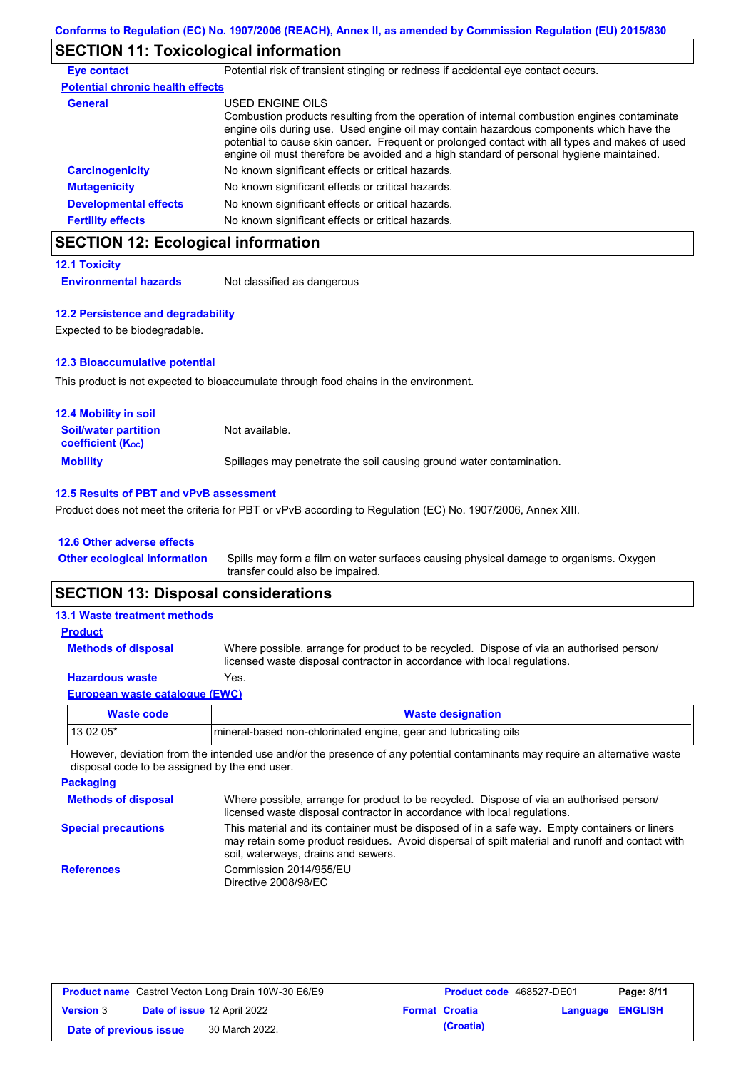# **SECTION 11: Toxicological information**

| <b>Eye contact</b>                      | Potential risk of transient stinging or redness if accidental eye contact occurs.                                                                                                                                                                                                                                                                                                                        |
|-----------------------------------------|----------------------------------------------------------------------------------------------------------------------------------------------------------------------------------------------------------------------------------------------------------------------------------------------------------------------------------------------------------------------------------------------------------|
| <b>Potential chronic health effects</b> |                                                                                                                                                                                                                                                                                                                                                                                                          |
| General                                 | USED ENGINE OILS<br>Combustion products resulting from the operation of internal combustion engines contaminate<br>engine oils during use. Used engine oil may contain hazardous components which have the<br>potential to cause skin cancer. Frequent or prolonged contact with all types and makes of used<br>engine oil must therefore be avoided and a high standard of personal hygiene maintained. |
| <b>Carcinogenicity</b>                  | No known significant effects or critical hazards.                                                                                                                                                                                                                                                                                                                                                        |
| <b>Mutagenicity</b>                     | No known significant effects or critical hazards.                                                                                                                                                                                                                                                                                                                                                        |
| <b>Developmental effects</b>            | No known significant effects or critical hazards.                                                                                                                                                                                                                                                                                                                                                        |
| <b>Fertility effects</b>                | No known significant effects or critical hazards.                                                                                                                                                                                                                                                                                                                                                        |

# **SECTION 12: Ecological information**

**12.1 Toxicity Environmental hazards** Not classified as dangerous

**12.2 Persistence and degradability** Expected to be biodegradable.

# **12.3 Bioaccumulative potential**

This product is not expected to bioaccumulate through food chains in the environment.

| <b>12.4 Mobility in soil</b>                            |                                                                      |
|---------------------------------------------------------|----------------------------------------------------------------------|
| <b>Soil/water partition</b><br><b>coefficient (Koc)</b> | Not available.                                                       |
| <b>Mobility</b>                                         | Spillages may penetrate the soil causing ground water contamination. |

### **12.5 Results of PBT and vPvB assessment**

Product does not meet the criteria for PBT or vPvB according to Regulation (EC) No. 1907/2006, Annex XIII.

### **12.6 Other adverse effects**

| Other ecological information Spills may form a film on water surfaces causing physical damage to organisms. Oxygen |
|--------------------------------------------------------------------------------------------------------------------|
| transfer could also be impaired.                                                                                   |

# **SECTION 13: Disposal considerations**

| <b>13.1 Waste treatment methods</b> |                                                                                                                                                                      |
|-------------------------------------|----------------------------------------------------------------------------------------------------------------------------------------------------------------------|
| <b>Product</b>                      |                                                                                                                                                                      |
| <b>Methods of disposal</b>          | Where possible, arrange for product to be recycled. Dispose of via an authorised person/<br>licensed waste disposal contractor in accordance with local regulations. |
| <b>Hazardous waste</b>              | Yes.                                                                                                                                                                 |
| European waste catalogue (EWC)      |                                                                                                                                                                      |
|                                     |                                                                                                                                                                      |

| Waste code | <b>Waste designation</b>                                         |
|------------|------------------------------------------------------------------|
| 13 02 05*  | Imineral-based non-chlorinated engine, gear and lubricating oils |

However, deviation from the intended use and/or the presence of any potential contaminants may require an alternative waste disposal code to be assigned by the end user.

| <b>Packaging</b>           |                                                                                                                                                                                                                                         |
|----------------------------|-----------------------------------------------------------------------------------------------------------------------------------------------------------------------------------------------------------------------------------------|
| <b>Methods of disposal</b> | Where possible, arrange for product to be recycled. Dispose of via an authorised person/<br>licensed waste disposal contractor in accordance with local regulations.                                                                    |
| <b>Special precautions</b> | This material and its container must be disposed of in a safe way. Empty containers or liners<br>may retain some product residues. Avoid dispersal of spilt material and runoff and contact with<br>soil, waterways, drains and sewers. |
| <b>References</b>          | Commission 2014/955/EU<br>Directive 2008/98/EC                                                                                                                                                                                          |

|                        | <b>Product name</b> Castrol Vecton Long Drain 10W-30 E6/E9 | <b>Product code</b> 468527-DE01 |                         | Page: 8/11 |
|------------------------|------------------------------------------------------------|---------------------------------|-------------------------|------------|
| <b>Version 3</b>       | Date of issue 12 April 2022                                | <b>Format Croatia</b>           | <b>Language ENGLISH</b> |            |
| Date of previous issue | 30 March 2022.                                             | (Croatia)                       |                         |            |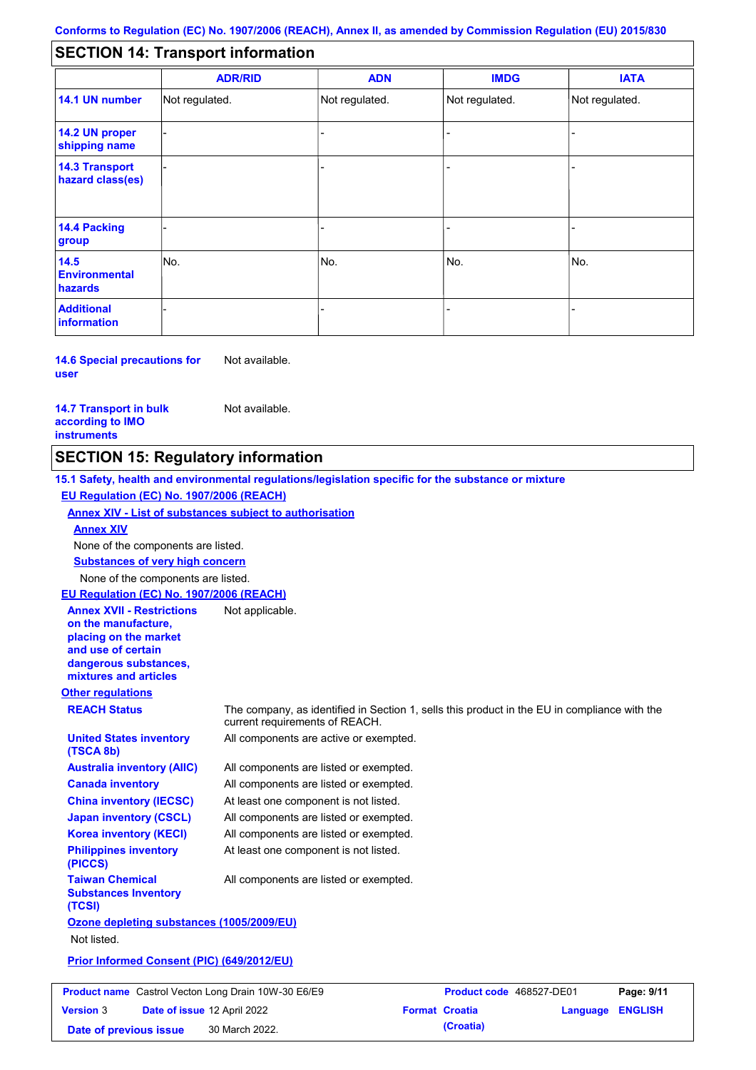#### - - - - - - - - - Not regulated. Not regulated. Not regulated. - - - **SECTION 14: Transport information ADR/RID IMDG IATA 14.1 UN number 14.2 UN proper shipping name 14.3 Transport hazard class(es) 14.4 Packing group ADN Additional information 14.5 Environmental hazards** No. 1980 | No. 1980 | No. 1980 | No. 1980 | No. 1980 | No. 1980 | No. 1980 | No. 1980 | No. 1980 | No. 1980 | Not regulated. - -<br>No. - -

**14.6 Special precautions for user** Not available.

#### **14.7 Transport in bulk according to IMO instruments**

Not available.

## **SECTION 15: Regulatory information**

**Other regulations REACH Status** The company, as identified in Section 1, sells this product in the EU in compliance with the current requirements of REACH. **15.1 Safety, health and environmental regulations/legislation specific for the substance or mixture EU Regulation (EC) No. 1907/2006 (REACH) Annex XIV - List of substances subject to authorisation Substances of very high concern** None of the components are listed. All components are listed or exempted. All components are listed or exempted. At least one component is not listed. All components are listed or exempted. All components are active or exempted. All components are listed or exempted. At least one component is not listed. **United States inventory (TSCA 8b) Australia inventory (AIIC) Canada inventory China inventory (IECSC) Japan inventory (CSCL) Korea inventory (KECI) Philippines inventory (PICCS) Taiwan Chemical Substances Inventory (TCSI)** All components are listed or exempted. **Ozone depleting substances (1005/2009/EU)** Not listed. **Prior Informed Consent (PIC) (649/2012/EU)** None of the components are listed. **Annex XIV EU Regulation (EC) No. 1907/2006 (REACH) Annex XVII - Restrictions on the manufacture, placing on the market and use of certain dangerous substances, mixtures and articles** Not applicable.

|                        | <b>Product name</b> Castrol Vecton Long Drain 10W-30 E6/E9 | <b>Product code</b> 468527-DE01 |                         | Page: 9/11 |
|------------------------|------------------------------------------------------------|---------------------------------|-------------------------|------------|
| <b>Version 3</b>       | <b>Date of issue 12 April 2022</b>                         | <b>Format Croatia</b>           | <b>Language ENGLISH</b> |            |
| Date of previous issue | 30 March 2022.                                             | (Croatia)                       |                         |            |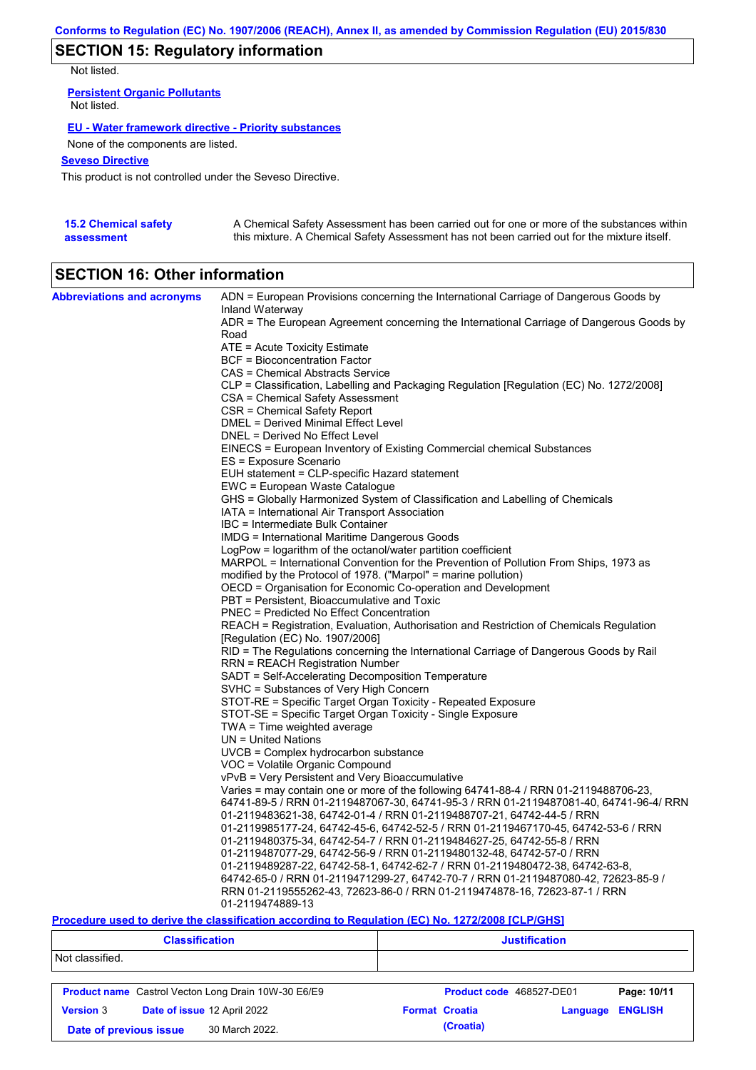# **SECTION 15: Regulatory information**

Not listed.

**Persistent Organic Pollutants** Not listed.

### **EU - Water framework directive - Priority substances**

None of the components are listed.

### **Seveso Directive**

This product is not controlled under the Seveso Directive.

| <b>15.2 Chemical safety</b> | A Chemical Safety Assessment has been carried out for one or more of the substances within  |
|-----------------------------|---------------------------------------------------------------------------------------------|
| assessment                  | this mixture. A Chemical Safety Assessment has not been carried out for the mixture itself. |

# **SECTION 16: Other information**

| <b>Abbreviations and acronyms</b> | ADN = European Provisions concerning the International Carriage of Dangerous Goods by    |
|-----------------------------------|------------------------------------------------------------------------------------------|
|                                   | Inland Waterway                                                                          |
|                                   | ADR = The European Agreement concerning the International Carriage of Dangerous Goods by |
|                                   | Road                                                                                     |
|                                   | ATE = Acute Toxicity Estimate                                                            |
|                                   | <b>BCF</b> = Bioconcentration Factor                                                     |
|                                   | CAS = Chemical Abstracts Service                                                         |
|                                   | CLP = Classification, Labelling and Packaging Regulation [Regulation (EC) No. 1272/2008] |
|                                   | CSA = Chemical Safety Assessment                                                         |
|                                   | CSR = Chemical Safety Report                                                             |
|                                   | DMEL = Derived Minimal Effect Level                                                      |
|                                   | DNEL = Derived No Effect Level                                                           |
|                                   | EINECS = European Inventory of Existing Commercial chemical Substances                   |
|                                   | ES = Exposure Scenario                                                                   |
|                                   | EUH statement = CLP-specific Hazard statement                                            |
|                                   | EWC = European Waste Catalogue                                                           |
|                                   | GHS = Globally Harmonized System of Classification and Labelling of Chemicals            |
|                                   | IATA = International Air Transport Association                                           |
|                                   | IBC = Intermediate Bulk Container                                                        |
|                                   | IMDG = International Maritime Dangerous Goods                                            |
|                                   | LogPow = logarithm of the octanol/water partition coefficient                            |
|                                   | MARPOL = International Convention for the Prevention of Pollution From Ships, 1973 as    |
|                                   | modified by the Protocol of 1978. ("Marpol" = marine pollution)                          |
|                                   | OECD = Organisation for Economic Co-operation and Development                            |
|                                   | PBT = Persistent, Bioaccumulative and Toxic                                              |
|                                   | <b>PNEC</b> = Predicted No Effect Concentration                                          |
|                                   | REACH = Registration, Evaluation, Authorisation and Restriction of Chemicals Regulation  |
|                                   | [Regulation (EC) No. 1907/2006]                                                          |
|                                   | RID = The Regulations concerning the International Carriage of Dangerous Goods by Rail   |
|                                   | <b>RRN = REACH Registration Number</b>                                                   |
|                                   | SADT = Self-Accelerating Decomposition Temperature                                       |
|                                   | SVHC = Substances of Very High Concern                                                   |
|                                   | STOT-RE = Specific Target Organ Toxicity - Repeated Exposure                             |
|                                   | STOT-SE = Specific Target Organ Toxicity - Single Exposure                               |
|                                   | TWA = Time weighted average                                                              |
|                                   | $UN = United Nations$                                                                    |
|                                   | $UVCB = Complex\;hydrocarbon\; substance$                                                |
|                                   | VOC = Volatile Organic Compound                                                          |
|                                   | vPvB = Very Persistent and Very Bioaccumulative                                          |
|                                   | Varies = may contain one or more of the following $64741-88-4$ / RRN 01-2119488706-23,   |
|                                   | 64741-89-5 / RRN 01-2119487067-30, 64741-95-3 / RRN 01-2119487081-40, 64741-96-4/ RRN    |
|                                   | 01-2119483621-38, 64742-01-4 / RRN 01-2119488707-21, 64742-44-5 / RRN                    |
|                                   | 01-2119985177-24, 64742-45-6, 64742-52-5 / RRN 01-2119467170-45, 64742-53-6 / RRN        |
|                                   | 01-2119480375-34, 64742-54-7 / RRN 01-2119484627-25, 64742-55-8 / RRN                    |
|                                   | 01-2119487077-29, 64742-56-9 / RRN 01-2119480132-48, 64742-57-0 / RRN                    |
|                                   | 01-2119489287-22, 64742-58-1, 64742-62-7 / RRN 01-2119480472-38, 64742-63-8,             |
|                                   | 64742-65-0 / RRN 01-2119471299-27, 64742-70-7 / RRN 01-2119487080-42, 72623-85-9 /       |
|                                   | RRN 01-2119555262-43, 72623-86-0 / RRN 01-2119474878-16, 72623-87-1 / RRN                |
|                                   | 01-2119474889-13                                                                         |

### **Procedure used to derive the classification according to Regulation (EC) No. 1272/2008 [CLP/GHS]**

| <b>Classification</b>                           |                                                            | <b>Justification</b>     |          |                |  |
|-------------------------------------------------|------------------------------------------------------------|--------------------------|----------|----------------|--|
| Not classified.                                 |                                                            |                          |          |                |  |
|                                                 | <b>Product name</b> Castrol Vecton Long Drain 10W-30 E6/E9 | Product code 468527-DE01 |          | Page: 10/11    |  |
| Date of issue 12 April 2022<br><b>Version 3</b> |                                                            | <b>Format Croatia</b>    | Language | <b>ENGLISH</b> |  |
| Date of previous issue                          | 30 March 2022.                                             | (Croatia)                |          |                |  |